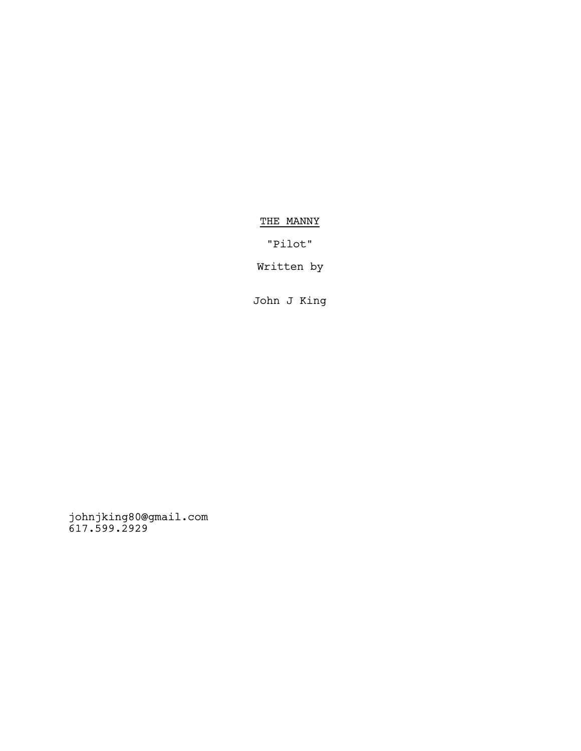# THE MANNY

"Pilot"

Written by

John J King

johnjking80@gmail.com 617.599.2929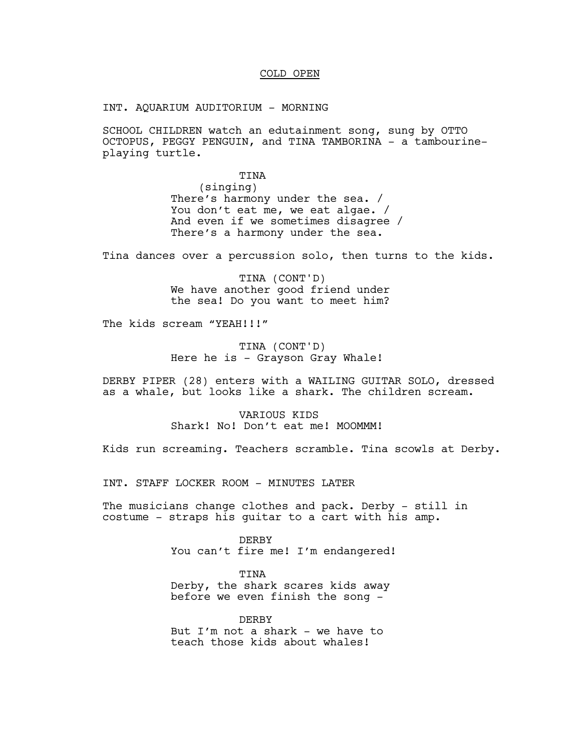### COLD OPEN

INT. AQUARIUM AUDITORIUM - MORNING

SCHOOL CHILDREN watch an edutainment song, sung by OTTO OCTOPUS, PEGGY PENGUIN, and TINA TAMBORINA - a tambourineplaying turtle.

#### TINA

(singing) There's harmony under the sea. / You don't eat me, we eat algae. / And even if we sometimes disagree / There's a harmony under the sea.

Tina dances over a percussion solo, then turns to the kids.

TINA (CONT'D) We have another good friend under the sea! Do you want to meet him?

The kids scream "YEAH!!!"

TINA (CONT'D) Here he is - Grayson Gray Whale!

DERBY PIPER (28) enters with a WAILING GUITAR SOLO, dressed as a whale, but looks like a shark. The children scream.

> VARIOUS KIDS Shark! No! Don't eat me! MOOMMM!

Kids run screaming. Teachers scramble. Tina scowls at Derby.

INT. STAFF LOCKER ROOM - MINUTES LATER

The musicians change clothes and pack. Derby - still in costume - straps his guitar to a cart with his amp.

> DERBY You can't fire me! I'm endangered!

TINA Derby, the shark scares kids away before we even finish the song -

DERBY But I'm not a shark - we have to teach those kids about whales!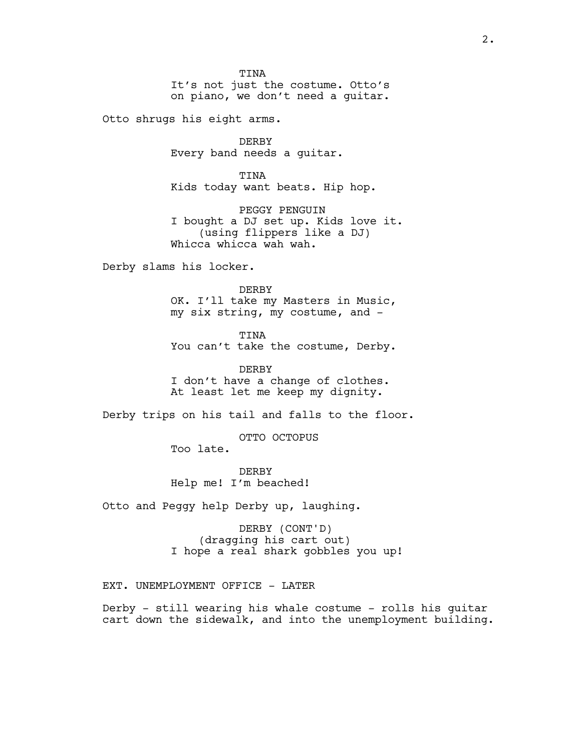**TINA** It's not just the costume. Otto's on piano, we don't need a guitar.

Otto shrugs his eight arms.

DERBY Every band needs a guitar.

TINA Kids today want beats. Hip hop.

PEGGY PENGUIN I bought a DJ set up. Kids love it. (using flippers like a DJ) Whicca whicca wah wah.

Derby slams his locker.

DERBY OK. I'll take my Masters in Music, my six string, my costume, and -

TINA You can't take the costume, Derby.

DERBY I don't have a change of clothes. At least let me keep my dignity.

Derby trips on his tail and falls to the floor.

OTTO OCTOPUS

Too late.

**DERBY** Help me! I'm beached!

Otto and Peggy help Derby up, laughing.

DERBY (CONT'D) (dragging his cart out) I hope a real shark gobbles you up!

EXT. UNEMPLOYMENT OFFICE - LATER

Derby - still wearing his whale costume - rolls his guitar cart down the sidewalk, and into the unemployment building.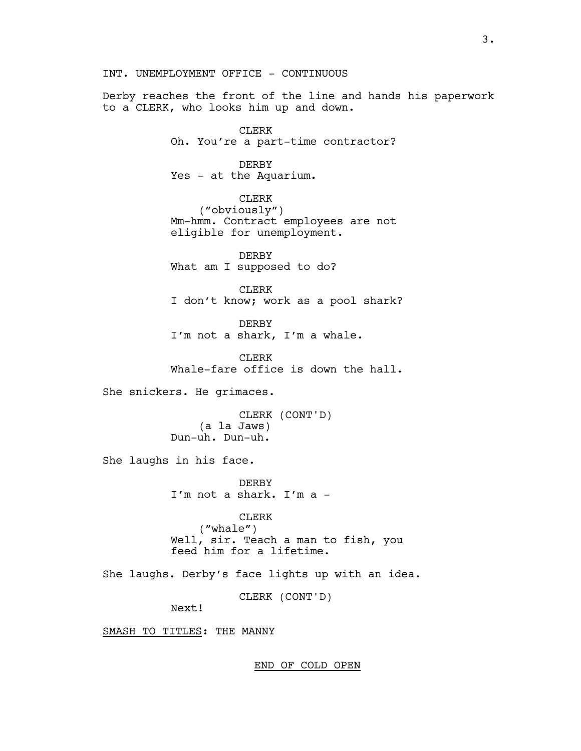INT. UNEMPLOYMENT OFFICE - CONTINUOUS

Derby reaches the front of the line and hands his paperwork to a CLERK, who looks him up and down.

> CLERK Oh. You're a part-time contractor?

## DERBY

Yes - at the Aquarium.

CLERK ("obviously") Mm-hmm. Contract employees are not eligible for unemployment.

DERBY What am I supposed to do?

CLERK I don't know; work as a pool shark?

DERBY I'm not a shark, I'm a whale.

CLERK Whale-fare office is down the hall.

She snickers. He grimaces.

CLERK (CONT'D) (a la Jaws) Dun-uh. Dun-uh.

She laughs in his face.

DERBY I'm not a shark. I'm a -

CLERK ("whale") Well, sir. Teach a man to fish, you feed him for a lifetime.

She laughs. Derby's face lights up with an idea.

CLERK (CONT'D)

Next!

SMASH TO TITLES: THE MANNY

END OF COLD OPEN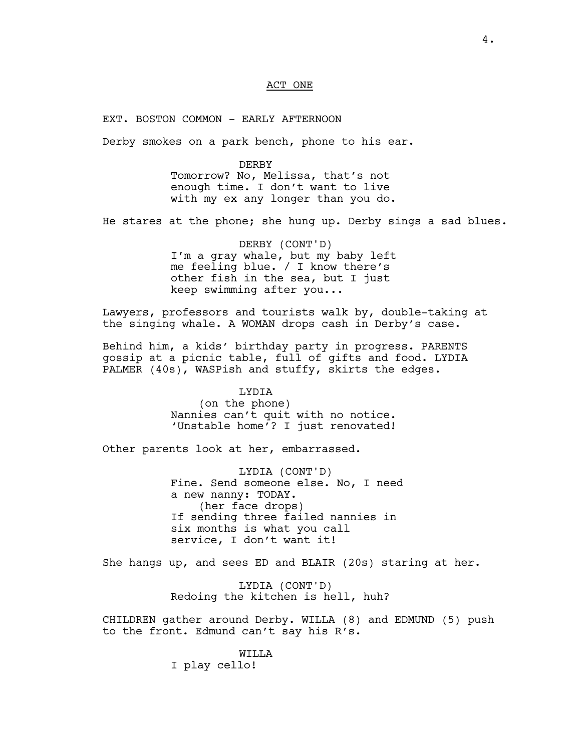#### ACT ONE

EXT. BOSTON COMMON - EARLY AFTERNOON

Derby smokes on a park bench, phone to his ear.

DERBY Tomorrow? No, Melissa, that's not enough time. I don't want to live with my ex any longer than you do.

He stares at the phone; she hung up. Derby sings a sad blues.

DERBY (CONT'D) I'm a gray whale, but my baby left me feeling blue. / I know there's other fish in the sea, but I just keep swimming after you...

Lawyers, professors and tourists walk by, double-taking at the singing whale. A WOMAN drops cash in Derby's case.

Behind him, a kids' birthday party in progress. PARENTS gossip at a picnic table, full of gifts and food. LYDIA PALMER (40s), WASPish and stuffy, skirts the edges.

> LYDIA (on the phone) Nannies can't quit with no notice. 'Unstable home'? I just renovated!

Other parents look at her, embarrassed.

LYDIA (CONT'D) Fine. Send someone else. No, I need a new nanny: TODAY. (her face drops) If sending three failed nannies in six months is what you call service, I don't want it!

She hangs up, and sees ED and BLAIR (20s) staring at her.

LYDIA (CONT'D) Redoing the kitchen is hell, huh?

CHILDREN gather around Derby. WILLA (8) and EDMUND (5) push to the front. Edmund can't say his R's.

WILLA

I play cello!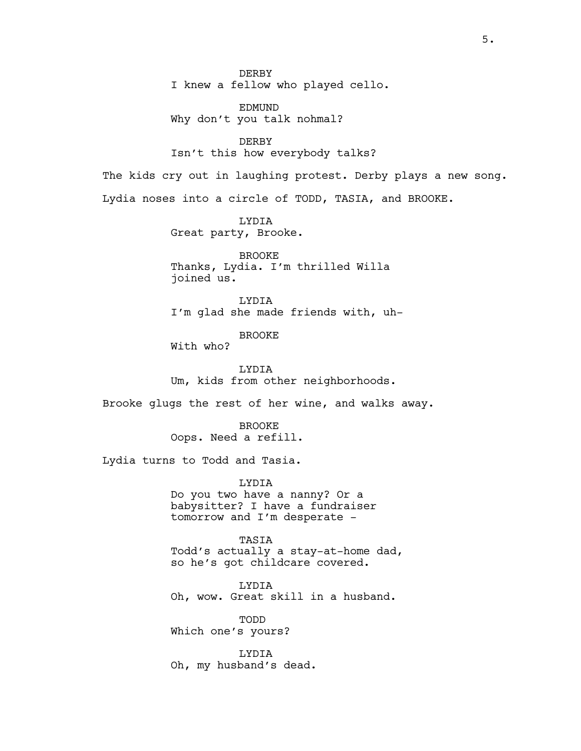**DERBY** I knew a fellow who played cello.

EDMUND Why don't you talk nohmal?

DERBY Isn't this how everybody talks?

The kids cry out in laughing protest. Derby plays a new song. Lydia noses into a circle of TODD, TASIA, and BROOKE.

> LYDIA Great party, Brooke.

BROOKE Thanks, Lydia. I'm thrilled Willa joined us.

LYDIA I'm glad she made friends with, uh-

BROOKE

With who?

LYDIA Um, kids from other neighborhoods.

Brooke glugs the rest of her wine, and walks away.

BROOKE Oops. Need a refill.

Lydia turns to Todd and Tasia.

LYDIA Do you two have a nanny? Or a babysitter? I have a fundraiser tomorrow and I'm desperate -

TASIA Todd's actually a stay-at-home dad, so he's got childcare covered.

LYDIA Oh, wow. Great skill in a husband.

TODD Which one's yours?

LYDIA Oh, my husband's dead.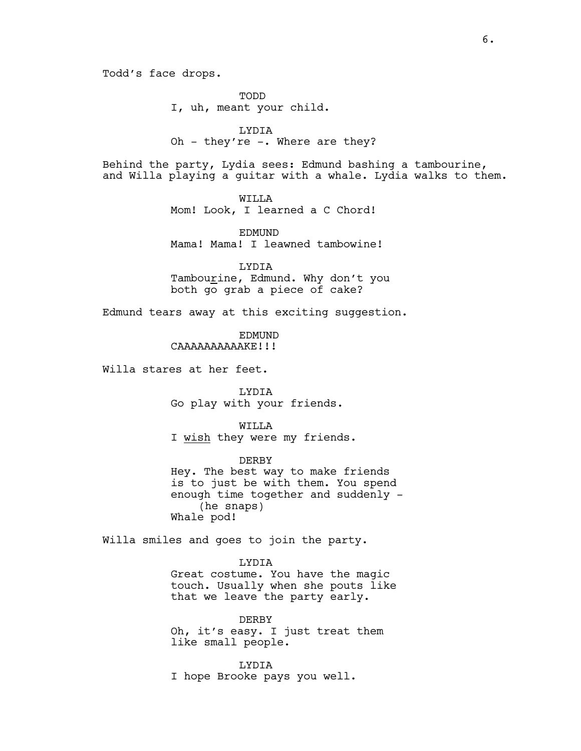Todd's face drops.

TODD I, uh, meant your child.

LYDIA Oh - they're -. Where are they?

Behind the party, Lydia sees: Edmund bashing a tambourine, and Willa playing a guitar with a whale. Lydia walks to them.

> WILLA Mom! Look, I learned a C Chord!

EDMUND Mama! Mama! I leawned tambowine!

LYDIA Tambourine, Edmund. Why don't you both go grab a piece of cake?

Edmund tears away at this exciting suggestion.

EDMUND CAAAAAAAAAAKE!!!

Willa stares at her feet.

LYDIA Go play with your friends.

WILLA I wish they were my friends.

DERBY Hey. The best way to make friends is to just be with them. You spend enough time together and suddenly - (he snaps) Whale pod!

Willa smiles and goes to join the party.

LYDIA

Great costume. You have the magic touch. Usually when she pouts like that we leave the party early.

DERBY Oh, it's easy. I just treat them like small people.

LYDIA I hope Brooke pays you well.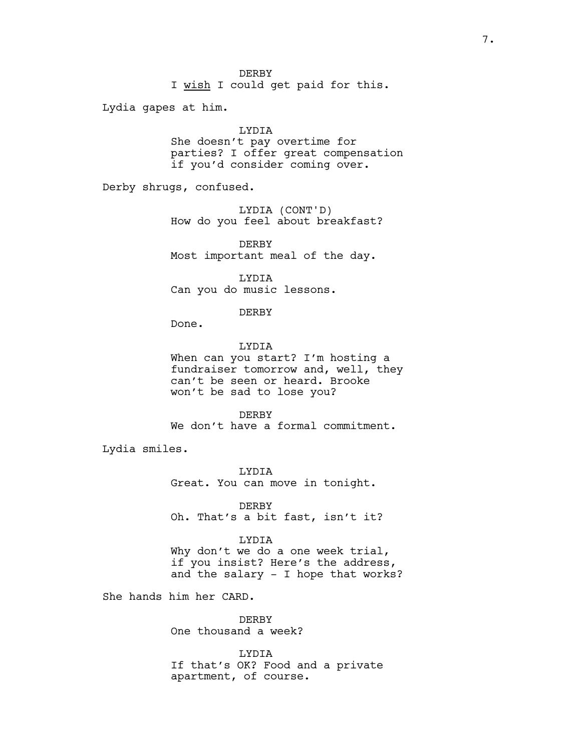I wish I could get paid for this.

Lydia gapes at him.

### LYDIA

She doesn't pay overtime for parties? I offer great compensation if you'd consider coming over.

Derby shrugs, confused.

LYDIA (CONT'D) How do you feel about breakfast?

DERBY Most important meal of the day.

LYDIA Can you do music lessons.

#### DERBY

Done.

LYDIA When can you start? I'm hosting a fundraiser tomorrow and, well, they can't be seen or heard. Brooke won't be sad to lose you?

**DERBY** We don't have a formal commitment.

Lydia smiles.

LYDIA Great. You can move in tonight.

DERBY Oh. That's a bit fast, isn't it?

#### LYDIA

Why don't we do a one week trial, if you insist? Here's the address, and the salary - I hope that works?

She hands him her CARD.

DERBY One thousand a week?

LYDIA If that's OK? Food and a private apartment, of course.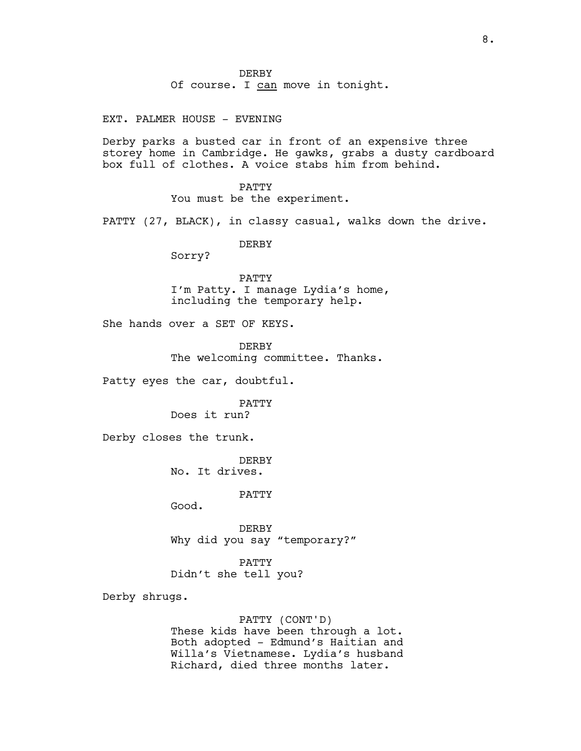Of course. I can move in tonight.

EXT. PALMER HOUSE - EVENING

Derby parks a busted car in front of an expensive three storey home in Cambridge. He gawks, grabs a dusty cardboard box full of clothes. A voice stabs him from behind.

> PATTY You must be the experiment.

PATTY (27, BLACK), in classy casual, walks down the drive.

DERBY

Sorry?

PATTY I'm Patty. I manage Lydia's home, including the temporary help.

She hands over a SET OF KEYS.

DERBY The welcoming committee. Thanks.

Patty eyes the car, doubtful.

PATTY

Does it run?

Derby closes the trunk.

DERBY No. It drives.

PATTY

Good.

DERBY Why did you say "temporary?"

PATTY Didn't she tell you?

Derby shrugs.

PATTY (CONT'D) These kids have been through a lot. Both adopted - Edmund's Haitian and Willa's Vietnamese. Lydia's husband Richard, died three months later.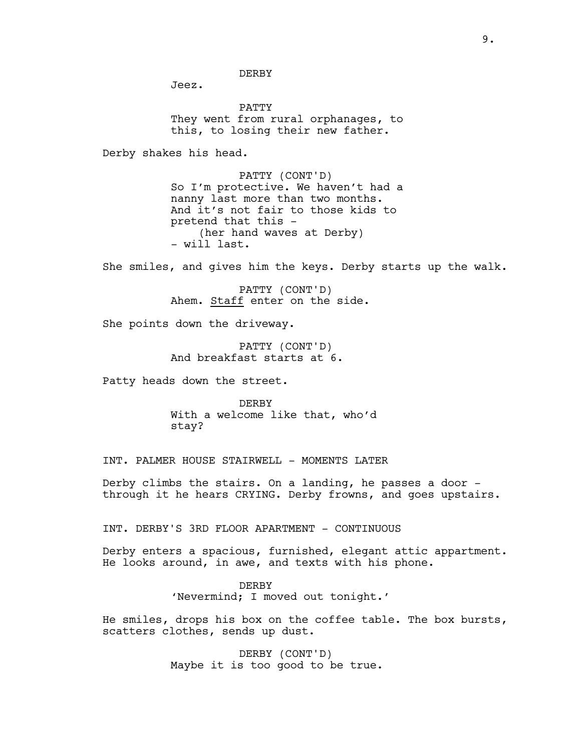Jeez.

PATTY They went from rural orphanages, to this, to losing their new father.

Derby shakes his head.

PATTY (CONT'D) So I'm protective. We haven't had a nanny last more than two months. And it's not fair to those kids to pretend that this - (her hand waves at Derby) - will last.

She smiles, and gives him the keys. Derby starts up the walk.

PATTY (CONT'D) Ahem. Staff enter on the side.

She points down the driveway.

PATTY (CONT'D) And breakfast starts at 6.

Patty heads down the street.

DERBY With a welcome like that, who'd stay?

INT. PALMER HOUSE STAIRWELL - MOMENTS LATER

Derby climbs the stairs. On a landing, he passes a door through it he hears CRYING. Derby frowns, and goes upstairs.

INT. DERBY'S 3RD FLOOR APARTMENT - CONTINUOUS

Derby enters a spacious, furnished, elegant attic appartment. He looks around, in awe, and texts with his phone.

> DERBY 'Nevermind; I moved out tonight.'

He smiles, drops his box on the coffee table. The box bursts, scatters clothes, sends up dust.

> DERBY (CONT'D) Maybe it is too good to be true.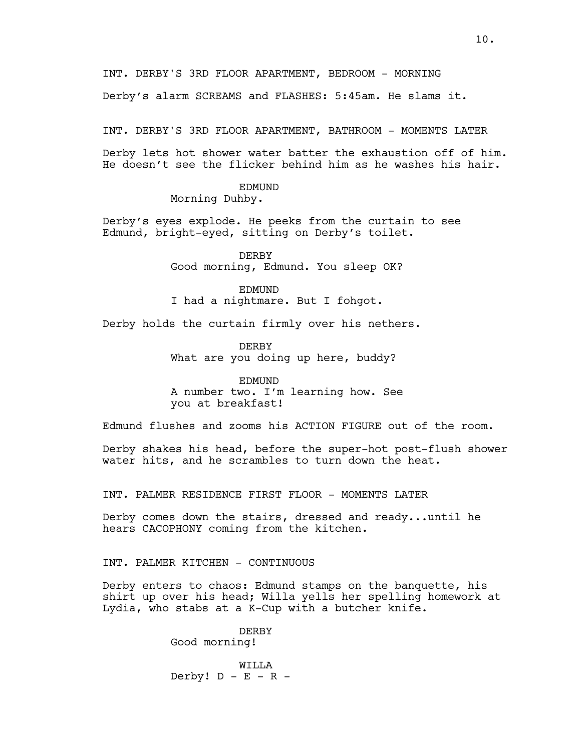INT. DERBY'S 3RD FLOOR APARTMENT, BEDROOM - MORNING

Derby's alarm SCREAMS and FLASHES: 5:45am. He slams it.

INT. DERBY'S 3RD FLOOR APARTMENT, BATHROOM - MOMENTS LATER

Derby lets hot shower water batter the exhaustion off of him. He doesn't see the flicker behind him as he washes his hair.

EDMUND

Morning Duhby.

Derby's eyes explode. He peeks from the curtain to see Edmund, bright-eyed, sitting on Derby's toilet.

> DERBY Good morning, Edmund. You sleep OK?

EDMUND I had a nightmare. But I fohgot.

Derby holds the curtain firmly over his nethers.

**DERBY** What are you doing up here, buddy?

EDMUND A number two. I'm learning how. See you at breakfast!

Edmund flushes and zooms his ACTION FIGURE out of the room.

Derby shakes his head, before the super-hot post-flush shower water hits, and he scrambles to turn down the heat.

INT. PALMER RESIDENCE FIRST FLOOR - MOMENTS LATER

Derby comes down the stairs, dressed and ready...until he hears CACOPHONY coming from the kitchen.

INT. PALMER KITCHEN - CONTINUOUS

Derby enters to chaos: Edmund stamps on the banquette, his shirt up over his head; Willa yells her spelling homework at Lydia, who stabs at a K-Cup with a butcher knife.

> DERBY Good morning!

WILLA Derby!  $D - E - R -$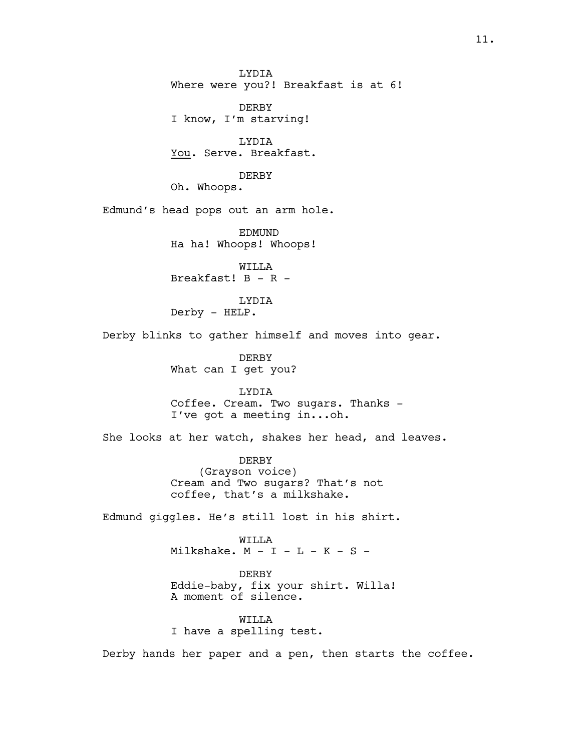LYDIA Where were you?! Breakfast is at 6!

DERBY I know, I'm starving!

LYDIA You. Serve. Breakfast.

DERBY

Oh. Whoops.

Edmund's head pops out an arm hole.

EDMUND Ha ha! Whoops! Whoops!

WILLA Breakfast! B - R -

LYDIA Derby - HELP.

Derby blinks to gather himself and moves into gear.

DERBY What can I get you?

LYDIA Coffee. Cream. Two sugars. Thanks - I've got a meeting in...oh.

She looks at her watch, shakes her head, and leaves.

DERBY (Grayson voice) Cream and Two sugars? That's not coffee, that's a milkshake.

Edmund giggles. He's still lost in his shirt.

WILLA Milkshake.  $M - I - L - K - S -$ 

DERBY Eddie-baby, fix your shirt. Willa! A moment of silence.

WILLA I have a spelling test.

Derby hands her paper and a pen, then starts the coffee.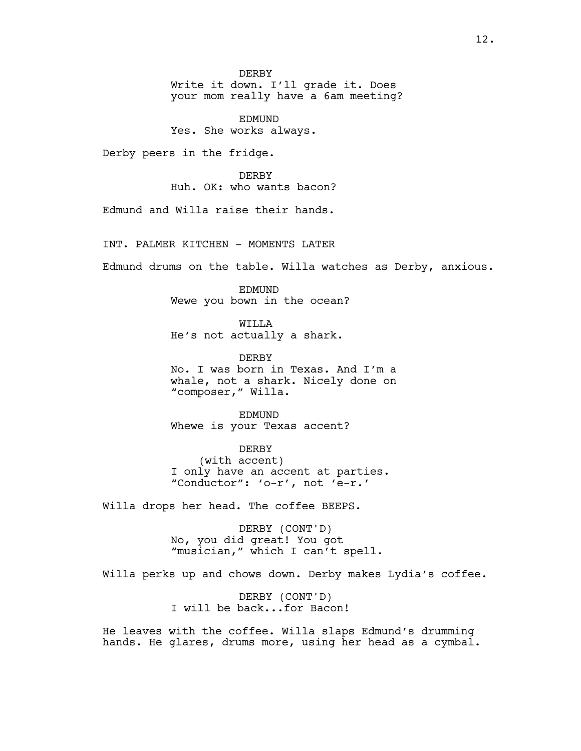DERBY Write it down. I'll grade it. Does your mom really have a 6am meeting?

EDMUND Yes. She works always.

Derby peers in the fridge.

**DERBY** Huh. OK: who wants bacon?

Edmund and Willa raise their hands.

INT. PALMER KITCHEN - MOMENTS LATER

Edmund drums on the table. Willa watches as Derby, anxious.

EDMUND Wewe you bown in the ocean?

**WILLA** He's not actually a shark.

DERBY No. I was born in Texas. And I'm a whale, not a shark. Nicely done on "composer," Willa.

EDMUND Whewe is your Texas accent?

DERBY (with accent) I only have an accent at parties. "Conductor": 'o-r', not 'e-r.'

Willa drops her head. The coffee BEEPS.

DERBY (CONT'D) No, you did great! You got "musician," which I can't spell.

Willa perks up and chows down. Derby makes Lydia's coffee.

DERBY (CONT'D) I will be back...for Bacon!

He leaves with the coffee. Willa slaps Edmund's drumming hands. He glares, drums more, using her head as a cymbal.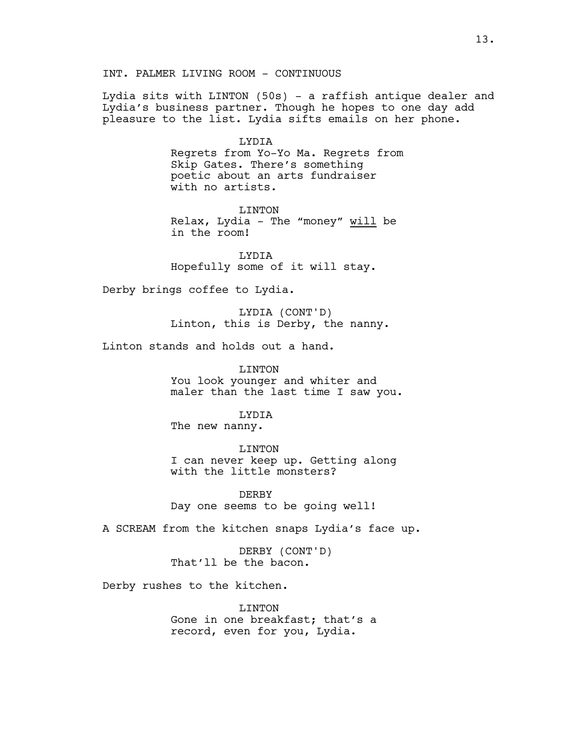INT. PALMER LIVING ROOM - CONTINUOUS

Lydia sits with LINTON (50s) - a raffish antique dealer and Lydia's business partner. Though he hopes to one day add pleasure to the list. Lydia sifts emails on her phone.

> LYDIA Regrets from Yo-Yo Ma. Regrets from Skip Gates. There's something poetic about an arts fundraiser with no artists.

LINTON Relax, Lydia - The "money" will be in the room!

LYDIA Hopefully some of it will stay.

Derby brings coffee to Lydia.

LYDIA (CONT'D) Linton, this is Derby, the nanny.

Linton stands and holds out a hand.

LINTON You look younger and whiter and maler than the last time I saw you.

LYDIA The new nanny.

LINTON I can never keep up. Getting along with the little monsters?

DERBY Day one seems to be going well!

A SCREAM from the kitchen snaps Lydia's face up.

DERBY (CONT'D) That'll be the bacon.

Derby rushes to the kitchen.

LINTON Gone in one breakfast; that's a record, even for you, Lydia.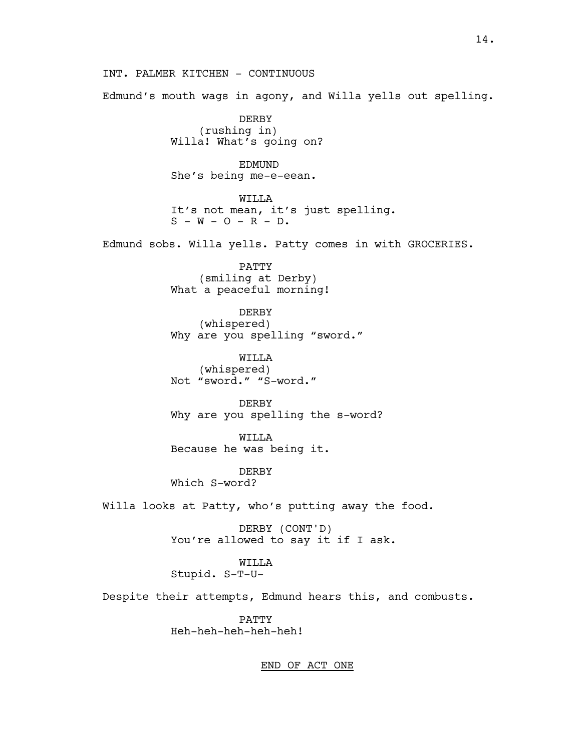INT. PALMER KITCHEN - CONTINUOUS

Edmund's mouth wags in agony, and Willa yells out spelling.

DERBY (rushing in) Willa! What's going on?

EDMUND She's being me-e-eean.

WILLA It's not mean, it's just spelling.  $S - W - O - R - D.$ 

Edmund sobs. Willa yells. Patty comes in with GROCERIES.

PATTY (smiling at Derby) What a peaceful morning!

DERBY (whispered) Why are you spelling "sword."

WILLA (whispered) Not "sword." "S-word."

DERBY Why are you spelling the s-word?

WILLA Because he was being it.

DERBY Which S-word?

Willa looks at Patty, who's putting away the food.

DERBY (CONT'D) You're allowed to say it if I ask.

WILLA

Stupid. S-T-U-

Despite their attempts, Edmund hears this, and combusts.

PATTY Heh-heh-heh-heh-heh!

END OF ACT ONE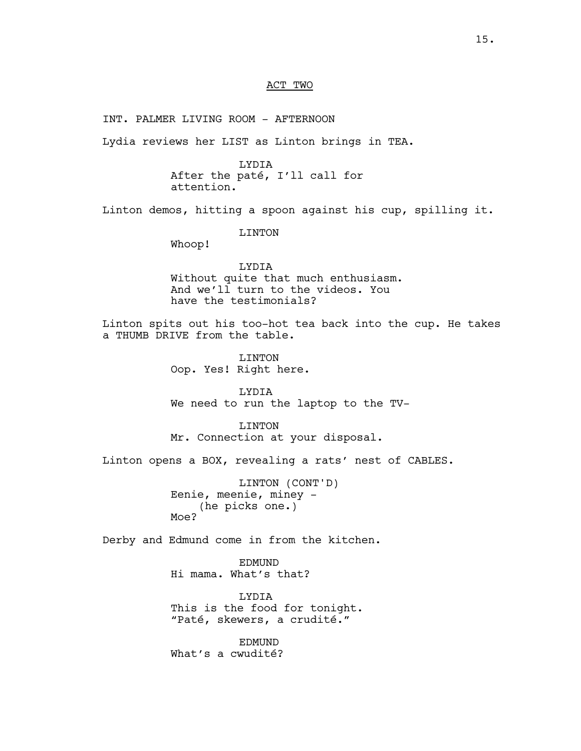#### ACT TWO

INT. PALMER LIVING ROOM - AFTERNOON

Lydia reviews her LIST as Linton brings in TEA.

LYDIA After the paté, I'll call for attention.

Linton demos, hitting a spoon against his cup, spilling it.

LINTON

Whoop!

LYDIA Without quite that much enthusiasm. And we'll turn to the videos. You have the testimonials?

Linton spits out his too-hot tea back into the cup. He takes a THUMB DRIVE from the table.

> LINTON Oop. Yes! Right here.

LYDIA We need to run the laptop to the TV-

LINTON Mr. Connection at your disposal.

Linton opens a BOX, revealing a rats' nest of CABLES.

LINTON (CONT'D) Eenie, meenie, miney - (he picks one.) Moe?

Derby and Edmund come in from the kitchen.

EDMUND Hi mama. What's that?

LYDIA This is the food for tonight. "Paté, skewers, a crudité."

EDMUND What's a cwudité?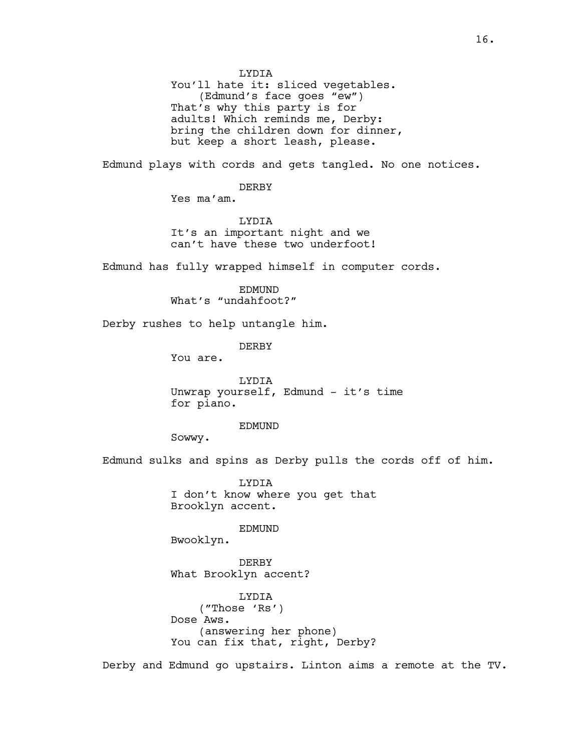LYDIA

You'll hate it: sliced vegetables. (Edmund's face goes "ew") That's why this party is for adults! Which reminds me, Derby: bring the children down for dinner, but keep a short leash, please.

Edmund plays with cords and gets tangled. No one notices.

DERBY

Yes ma'am.

LYDIA It's an important night and we can't have these two underfoot!

Edmund has fully wrapped himself in computer cords.

EDMUND What's "undahfoot?"

Derby rushes to help untangle him.

DERBY

You are.

LYDIA Unwrap yourself, Edmund - it's time for piano.

EDMUND

Sowwy.

Edmund sulks and spins as Derby pulls the cords off of him.

LYDIA I don't know where you get that Brooklyn accent.

EDMUND

Bwooklyn.

DERBY What Brooklyn accent?

LYDIA ("Those 'Rs') Dose Aws. (answering her phone) You can fix that, right, Derby?

Derby and Edmund go upstairs. Linton aims a remote at the TV.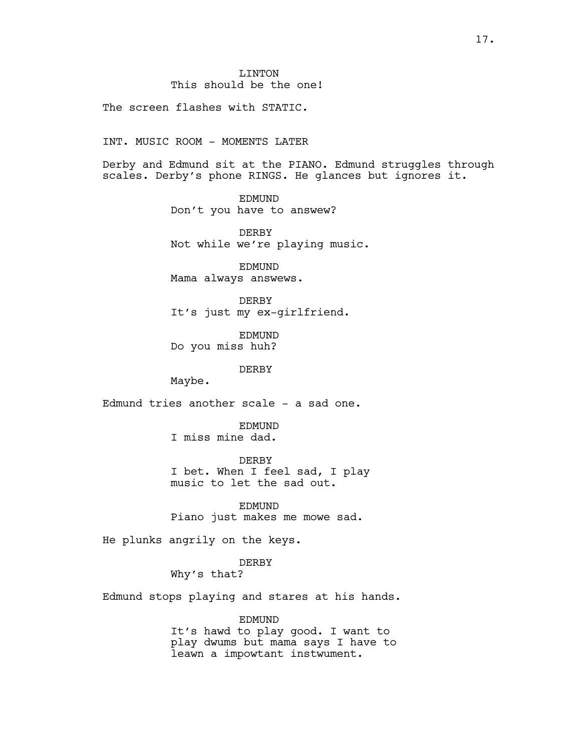The screen flashes with STATIC.

INT. MUSIC ROOM - MOMENTS LATER

Derby and Edmund sit at the PIANO. Edmund struggles through scales. Derby's phone RINGS. He glances but ignores it.

> EDMUND Don't you have to answew?

DERBY Not while we're playing music.

EDMUND Mama always answews.

DERBY It's just my ex-girlfriend.

EDMUND Do you miss huh?

DERBY

Maybe.

Edmund tries another scale - a sad one.

EDMUND I miss mine dad.

DERBY I bet. When I feel sad, I play music to let the sad out.

EDMUND Piano just makes me mowe sad.

He plunks angrily on the keys.

DERBY Why's that?

Edmund stops playing and stares at his hands.

EDMUND It's hawd to play good. I want to play dwums but mama says I have to leawn a impowtant instwument.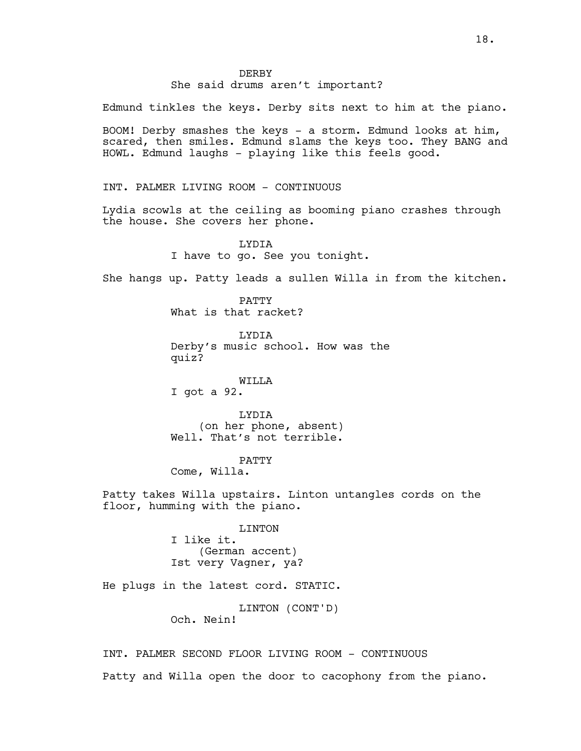### **DERBY** She said drums aren't important?

Edmund tinkles the keys. Derby sits next to him at the piano.

BOOM! Derby smashes the keys - a storm. Edmund looks at him, scared, then smiles. Edmund slams the keys too. They BANG and HOWL. Edmund laughs - playing like this feels good.

INT. PALMER LIVING ROOM - CONTINUOUS

Lydia scowls at the ceiling as booming piano crashes through the house. She covers her phone.

> LYDIA I have to go. See you tonight.

She hangs up. Patty leads a sullen Willa in from the kitchen.

PATTY What is that racket?

LYDIA Derby's music school. How was the quiz?

WILLA I got a 92.

LYDIA (on her phone, absent) Well. That's not terrible.

PATTY

Come, Willa.

Patty takes Willa upstairs. Linton untangles cords on the floor, humming with the piano.

> LINTON I like it. (German accent) Ist very Vagner, ya?

He plugs in the latest cord. STATIC.

LINTON (CONT'D) Och. Nein!

INT. PALMER SECOND FLOOR LIVING ROOM - CONTINUOUS

Patty and Willa open the door to cacophony from the piano.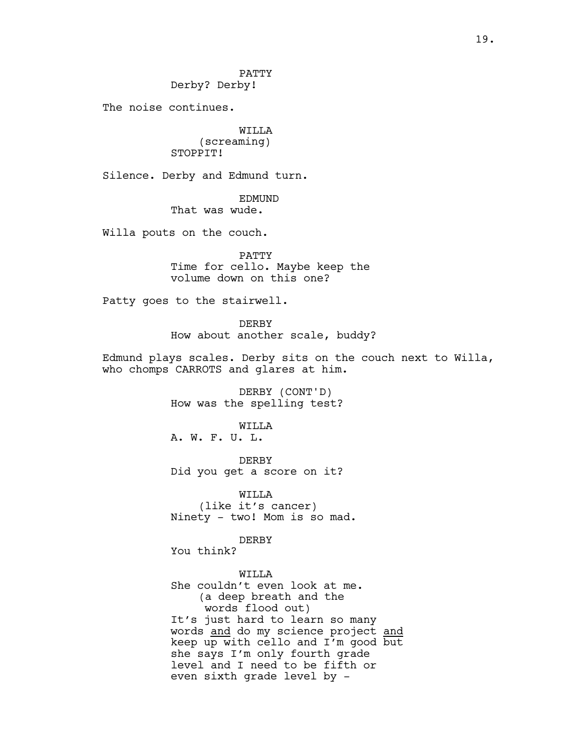PATTY Derby? Derby!

The noise continues.

WILLA (screaming) STOPPIT!

Silence. Derby and Edmund turn.

EDMUND

That was wude.

Willa pouts on the couch.

PATTY Time for cello. Maybe keep the volume down on this one?

Patty goes to the stairwell.

**DERBY** How about another scale, buddy?

Edmund plays scales. Derby sits on the couch next to Willa, who chomps CARROTS and glares at him.

> DERBY (CONT'D) How was the spelling test?

WILLA A. W. F. U. L.

DERBY Did you get a score on it?

WILLA (like it's cancer) Ninety - two! Mom is so mad.

DERBY

You think?

**WILLA** 

She couldn't even look at me. (a deep breath and the words flood out) It's just hard to learn so many words and do my science project and keep up with cello and I'm good but she says I'm only fourth grade level and I need to be fifth or even sixth grade level by -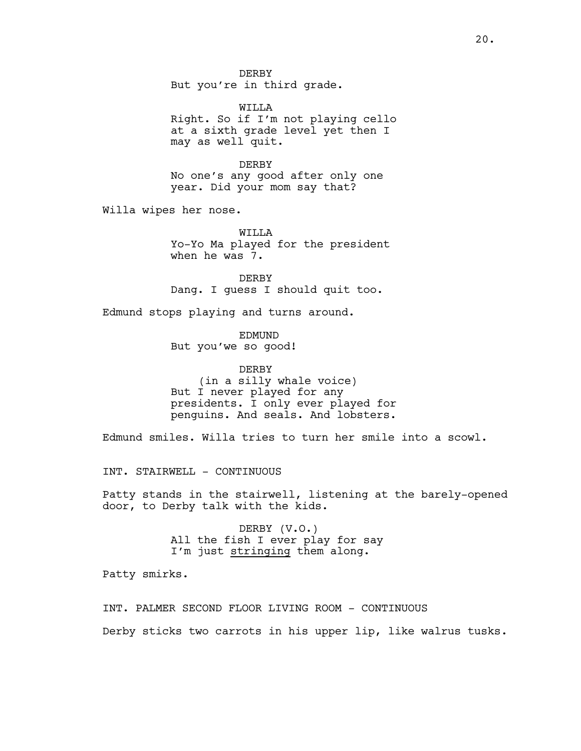DERBY But you're in third grade.

WILLA Right. So if I'm not playing cello at a sixth grade level yet then I may as well quit.

DERBY No one's any good after only one year. Did your mom say that?

Willa wipes her nose.

WILLA Yo-Yo Ma played for the president when he was 7.

DERBY Dang. I guess I should quit too.

Edmund stops playing and turns around.

EDMUND But you'we so good!

DERBY (in a silly whale voice) But I never played for any presidents. I only ever played for penguins. And seals. And lobsters.

Edmund smiles. Willa tries to turn her smile into a scowl.

INT. STAIRWELL - CONTINUOUS

Patty stands in the stairwell, listening at the barely-opened door, to Derby talk with the kids.

> DERBY (V.O.) All the fish I ever play for say I'm just stringing them along.

Patty smirks.

INT. PALMER SECOND FLOOR LIVING ROOM - CONTINUOUS Derby sticks two carrots in his upper lip, like walrus tusks.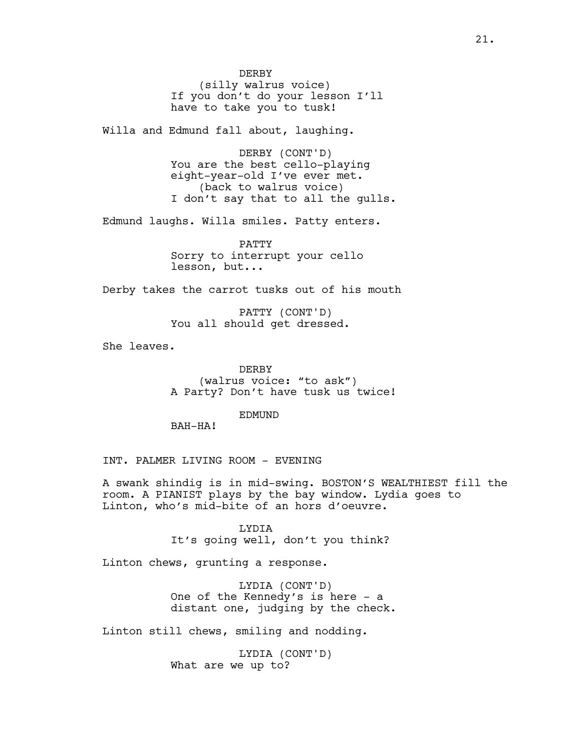DERBY (silly walrus voice) If you don't do your lesson I'll have to take you to tusk!

Willa and Edmund fall about, laughing.

DERBY (CONT'D) You are the best cello-playing eight-year-old I've ever met. (back to walrus voice) I don't say that to all the gulls.

Edmund laughs. Willa smiles. Patty enters.

PATTY Sorry to interrupt your cello lesson, but...

Derby takes the carrot tusks out of his mouth

PATTY (CONT'D) You all should get dressed.

She leaves.

DERBY (walrus voice: "to ask") A Party? Don't have tusk us twice!

EDMUND

BAH-HA!

INT. PALMER LIVING ROOM - EVENING

A swank shindig is in mid-swing. BOSTON'S WEALTHIEST fill the room. A PIANIST plays by the bay window. Lydia goes to Linton, who's mid-bite of an hors d'oeuvre.

> LYDIA It's going well, don't you think?

Linton chews, grunting a response.

LYDIA (CONT'D) One of the Kennedy's is here - a distant one, judging by the check.

Linton still chews, smiling and nodding.

LYDIA (CONT'D) What are we up to?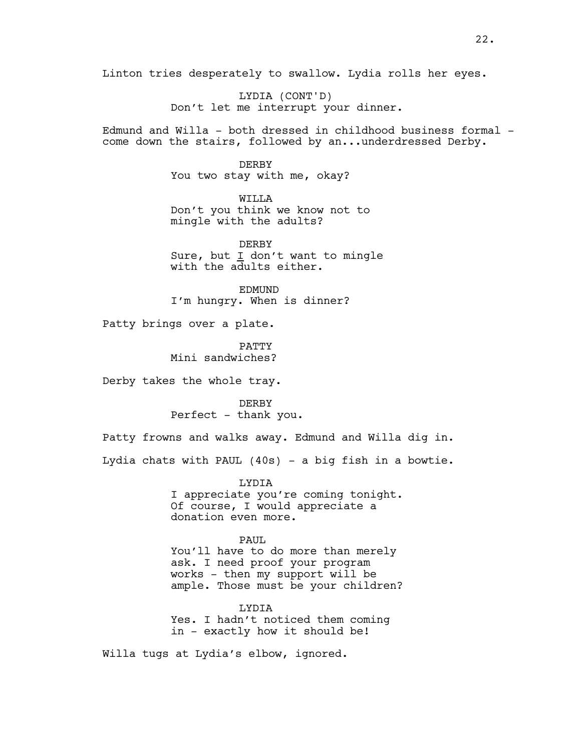Linton tries desperately to swallow. Lydia rolls her eyes.

LYDIA (CONT'D) Don't let me interrupt your dinner.

Edmund and Willa - both dressed in childhood business formal come down the stairs, followed by an...underdressed Derby.

> DERBY You two stay with me, okay?

WILLA Don't you think we know not to mingle with the adults?

DERBY Sure, but I don't want to mingle with the adults either.

EDMUND I'm hungry. When is dinner?

Patty brings over a plate.

PATTY Mini sandwiches?

Derby takes the whole tray.

DERBY Perfect - thank you.

Patty frowns and walks away. Edmund and Willa dig in.

Lydia chats with PAUL (40s) - a big fish in a bowtie.

LYDIA I appreciate you're coming tonight. Of course, I would appreciate a donation even more.

PAUL You'll have to do more than merely ask. I need proof your program works - then my support will be ample. Those must be your children?

LYDIA Yes. I hadn't noticed them coming in - exactly how it should be!

Willa tugs at Lydia's elbow, ignored.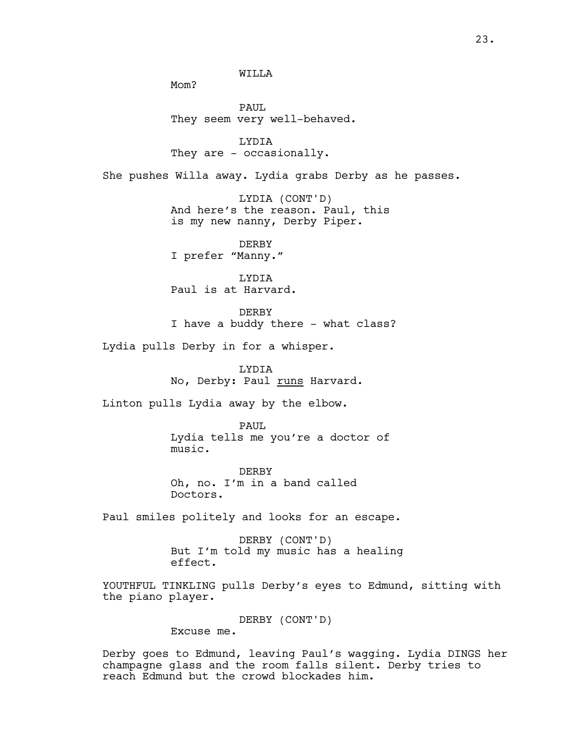WILLA

Mom?

PAUL They seem very well-behaved.

LYDIA They are - occasionally.

She pushes Willa away. Lydia grabs Derby as he passes.

LYDIA (CONT'D) And here's the reason. Paul, this is my new nanny, Derby Piper.

DERBY I prefer "Manny."

LYDIA Paul is at Harvard.

DERBY I have a buddy there - what class?

Lydia pulls Derby in for a whisper.

LYDIA No, Derby: Paul runs Harvard.

Linton pulls Lydia away by the elbow.

PAUL Lydia tells me you're a doctor of music.

DERBY Oh, no. I'm in a band called Doctors.

Paul smiles politely and looks for an escape.

DERBY (CONT'D) But I'm told my music has a healing effect.

YOUTHFUL TINKLING pulls Derby's eyes to Edmund, sitting with the piano player.

> DERBY (CONT'D) Excuse me.

Derby goes to Edmund, leaving Paul's wagging. Lydia DINGS her champagne glass and the room falls silent. Derby tries to reach Edmund but the crowd blockades him.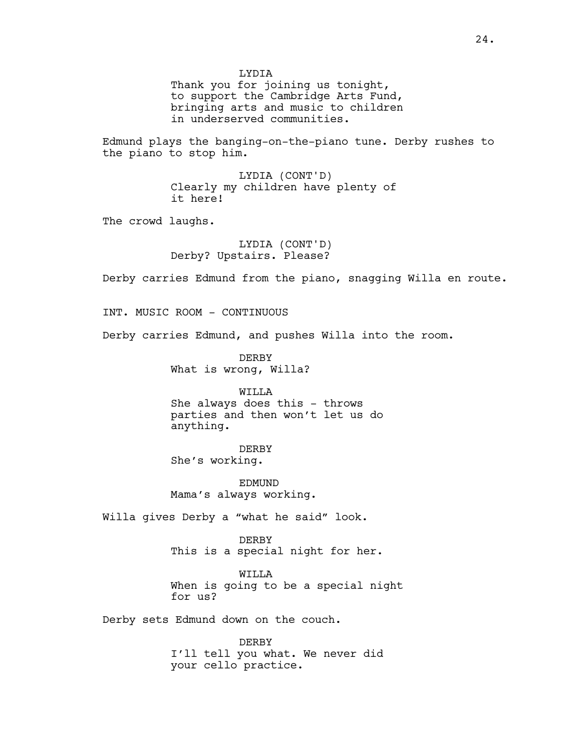LYDIA

Thank you for joining us tonight, to support the Cambridge Arts Fund, bringing arts and music to children in underserved communities.

Edmund plays the banging-on-the-piano tune. Derby rushes to the piano to stop him.

> LYDIA (CONT'D) Clearly my children have plenty of it here!

The crowd laughs.

LYDIA (CONT'D) Derby? Upstairs. Please?

Derby carries Edmund from the piano, snagging Willa en route.

INT. MUSIC ROOM - CONTINUOUS

Derby carries Edmund, and pushes Willa into the room.

DERBY What is wrong, Willa?

WILLA She always does this - throws parties and then won't let us do anything.

DERBY She's working.

EDMUND Mama's always working.

Willa gives Derby a "what he said" look.

DERBY This is a special night for her.

WILLA When is going to be a special night for us?

Derby sets Edmund down on the couch.

DERBY I'll tell you what. We never did your cello practice.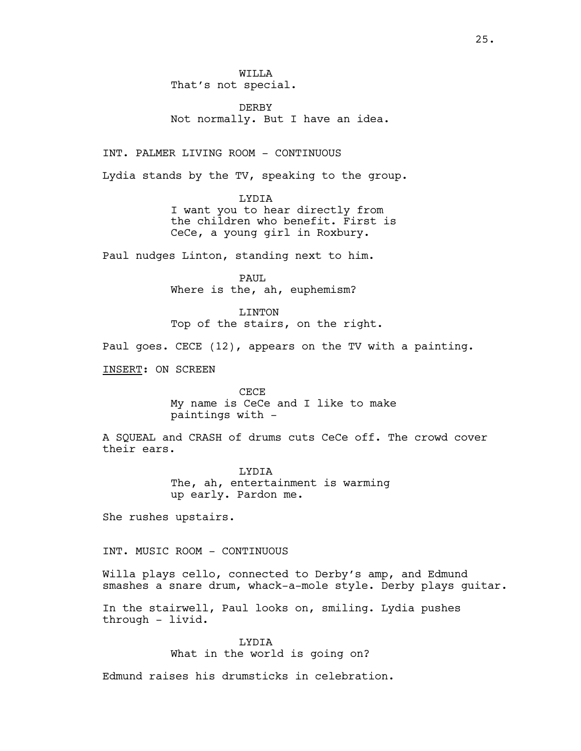**WILLA** That's not special.

DERBY Not normally. But I have an idea.

INT. PALMER LIVING ROOM - CONTINUOUS

Lydia stands by the TV, speaking to the group.

LYDIA I want you to hear directly from the children who benefit. First is CeCe, a young girl in Roxbury.

Paul nudges Linton, standing next to him.

PAUL Where is the, ah, euphemism?

LINTON Top of the stairs, on the right.

Paul goes. CECE (12), appears on the TV with a painting.

INSERT: ON SCREEN

CECE My name is CeCe and I like to make paintings with -

A SQUEAL and CRASH of drums cuts CeCe off. The crowd cover their ears.

> LYDIA The, ah, entertainment is warming up early. Pardon me.

She rushes upstairs.

INT. MUSIC ROOM - CONTINUOUS

Willa plays cello, connected to Derby's amp, and Edmund smashes a snare drum, whack-a-mole style. Derby plays guitar.

In the stairwell, Paul looks on, smiling. Lydia pushes through - livid.

> LYDIA What in the world is going on?

Edmund raises his drumsticks in celebration.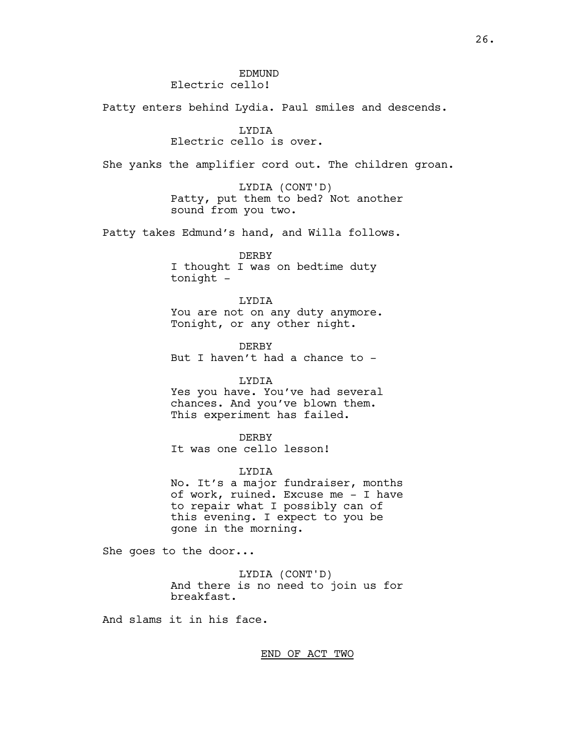### **EDMUND** Electric cello!

Patty enters behind Lydia. Paul smiles and descends.

## LYDIA

## Electric cello is over.

She yanks the amplifier cord out. The children groan.

LYDIA (CONT'D) Patty, put them to bed? Not another sound from you two.

Patty takes Edmund's hand, and Willa follows.

DERBY I thought I was on bedtime duty tonight -

LYDIA You are not on any duty anymore. Tonight, or any other night.

DERBY But I haven't had a chance to -

LYDIA Yes you have. You've had several chances. And you've blown them. This experiment has failed.

DERBY It was one cello lesson!

LYDIA No. It's a major fundraiser, months of work, ruined. Excuse me - I have to repair what I possibly can of this evening. I expect to you be gone in the morning.

She goes to the door...

LYDIA (CONT'D) And there is no need to join us for breakfast.

And slams it in his face.

END OF ACT TWO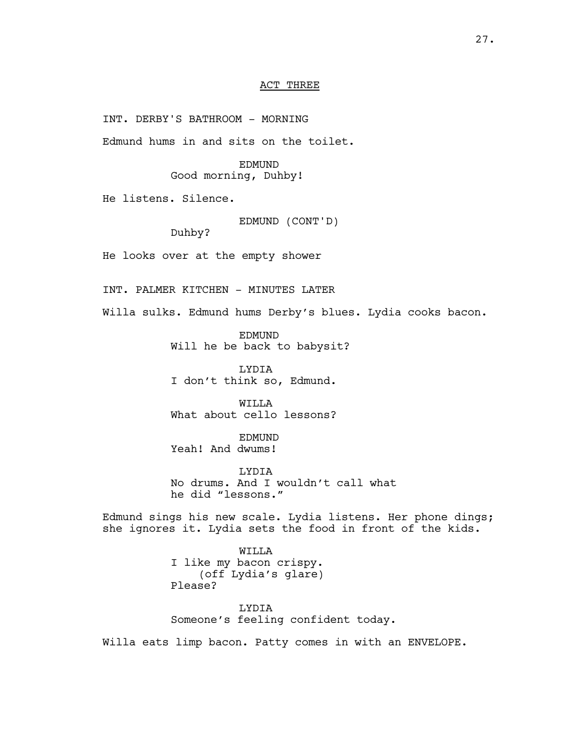#### ACT THREE

INT. DERBY'S BATHROOM - MORNING

Edmund hums in and sits on the toilet.

EDMUND Good morning, Duhby!

He listens. Silence.

EDMUND (CONT'D)

Duhby?

He looks over at the empty shower

INT. PALMER KITCHEN - MINUTES LATER

Willa sulks. Edmund hums Derby's blues. Lydia cooks bacon.

EDMUND Will he be back to babysit?

LYDIA I don't think so, Edmund.

WTT.T.A What about cello lessons?

EDMUND Yeah! And dwums!

**LYDIA** No drums. And I wouldn't call what he did "lessons."

Edmund sings his new scale. Lydia listens. Her phone dings; she ignores it. Lydia sets the food in front of the kids.

> WILLA I like my bacon crispy. (off Lydia's glare) Please?

LYDIA Someone's feeling confident today.

Willa eats limp bacon. Patty comes in with an ENVELOPE.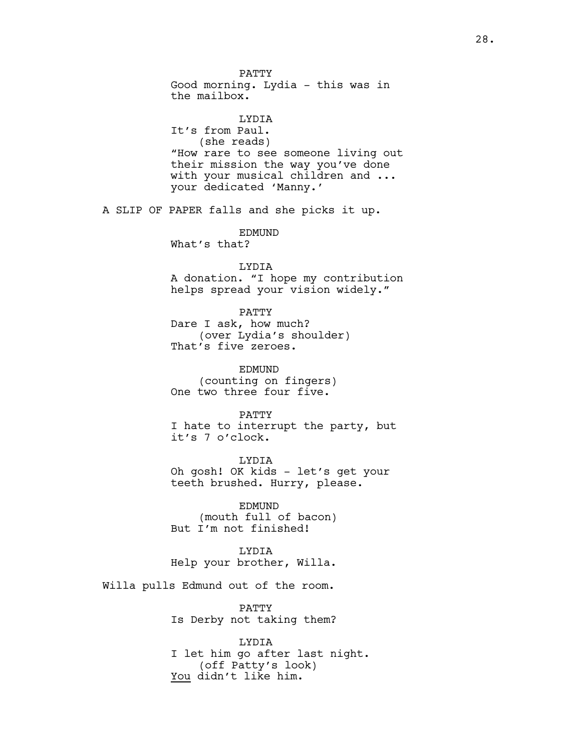PATTY Good morning. Lydia - this was in the mailbox. LYDIA It's from Paul. (she reads) "How rare to see someone living out their mission the way you've done with your musical children and ... your dedicated 'Manny.' A SLIP OF PAPER falls and she picks it up. EDMUND What's that? LYDIA A donation. "I hope my contribution helps spread your vision widely." PATTY Dare I ask, how much? (over Lydia's shoulder) That's five zeroes. EDMUND (counting on fingers) One two three four five. PATTY I hate to interrupt the party, but it's 7 o'clock. LYDIA Oh gosh! OK kids - let's get your teeth brushed. Hurry, please. EDMUND (mouth full of bacon) But I'm not finished! LYDIA Help your brother, Willa. Willa pulls Edmund out of the room. PATTY Is Derby not taking them? LYDIA I let him go after last night. (off Patty's look)

You didn't like him.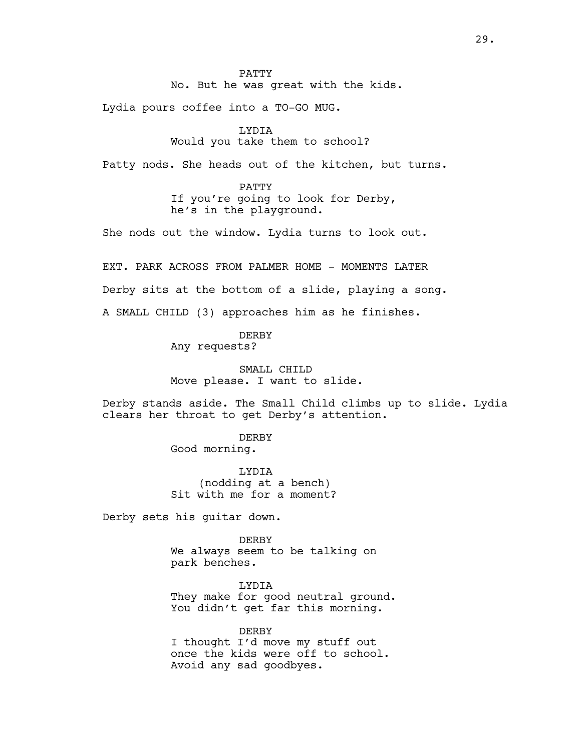#### PATTY

No. But he was great with the kids.

Lydia pours coffee into a TO-GO MUG.

### LYDIA

## Would you take them to school?

Patty nods. She heads out of the kitchen, but turns.

#### PATTY

If you're going to look for Derby, he's in the playground.

She nods out the window. Lydia turns to look out.

EXT. PARK ACROSS FROM PALMER HOME - MOMENTS LATER

Derby sits at the bottom of a slide, playing a song.

A SMALL CHILD (3) approaches him as he finishes.

### DERBY

Any requests?

SMALL CHILD Move please. I want to slide.

Derby stands aside. The Small Child climbs up to slide. Lydia clears her throat to get Derby's attention.

DERBY

Good morning.

LYDIA (nodding at a bench) Sit with me for a moment?

Derby sets his guitar down.

DERBY We always seem to be talking on park benches.

LYDIA They make for good neutral ground. You didn't get far this morning.

DERBY I thought I'd move my stuff out once the kids were off to school. Avoid any sad goodbyes.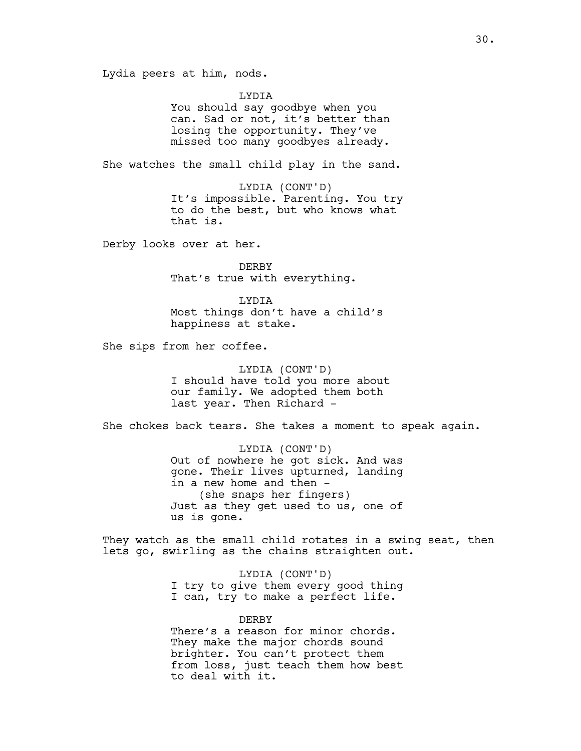Lydia peers at him, nods.

LYDIA

You should say goodbye when you can. Sad or not, it's better than losing the opportunity. They've missed too many goodbyes already.

She watches the small child play in the sand.

LYDIA (CONT'D) It's impossible. Parenting. You try to do the best, but who knows what that is.

Derby looks over at her.

DERBY That's true with everything.

LYDIA Most things don't have a child's happiness at stake.

She sips from her coffee.

LYDIA (CONT'D) I should have told you more about our family. We adopted them both last year. Then Richard -

She chokes back tears. She takes a moment to speak again.

LYDIA (CONT'D) Out of nowhere he got sick. And was gone. Their lives upturned, landing in a new home and then -(she snaps her fingers) Just as they get used to us, one of us is gone.

They watch as the small child rotates in a swing seat, then lets go, swirling as the chains straighten out.

> LYDIA (CONT'D) I try to give them every good thing I can, try to make a perfect life.

> DERBY There's a reason for minor chords. They make the major chords sound brighter. You can't protect them from loss, just teach them how best to deal with it.